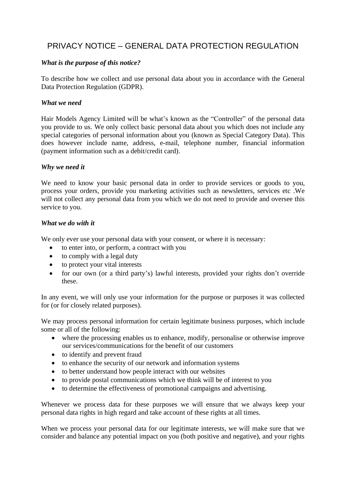# PRIVACY NOTICE – GENERAL DATA PROTECTION REGULATION

# *What is the purpose of this notice?*

To describe how we collect and use personal data about you in accordance with the General Data Protection Regulation (GDPR).

## *What we need*

Hair Models Agency Limited will be what's known as the "Controller" of the personal data you provide to us. We only collect basic personal data about you which does not include any special categories of personal information about you (known as Special Category Data). This does however include name, address, e-mail, telephone number, financial information (payment information such as a debit/credit card).

## *Why we need it*

We need to know your basic personal data in order to provide services or goods to you, process your orders, provide you marketing activities such as newsletters, services etc .We will not collect any personal data from you which we do not need to provide and oversee this service to you.

#### *What we do with it*

We only ever use your personal data with your consent, or where it is necessary:

- to enter into, or perform, a contract with you
- to comply with a legal duty
- to protect your vital interests
- for our own (or a third party's) lawful interests, provided your rights don't override these.

In any event, we will only use your information for the purpose or purposes it was collected for (or for closely related purposes).

We may process personal information for certain legitimate business purposes, which include some or all of the following:

- where the processing enables us to enhance, modify, personalise or otherwise improve our services/communications for the benefit of our customers
- to identify and prevent fraud
- to enhance the security of our network and information systems
- to better understand how people interact with our websites
- to provide postal communications which we think will be of interest to you
- to determine the effectiveness of promotional campaigns and advertising.

Whenever we process data for these purposes we will ensure that we always keep your personal data rights in high regard and take account of these rights at all times.

When we process your personal data for our legitimate interests, we will make sure that we consider and balance any potential impact on you (both positive and negative), and your rights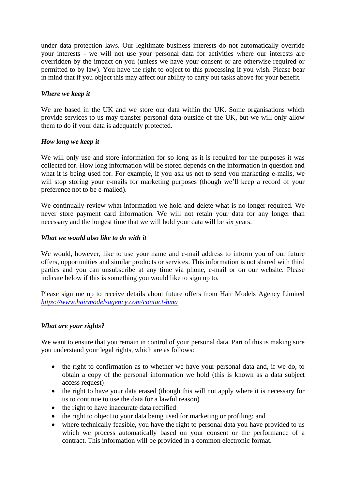under data protection laws. Our legitimate business interests do not automatically override your interests - we will not use your personal data for activities where our interests are overridden by the impact on you (unless we have your consent or are otherwise required or permitted to by law). You have the right to object to this processing if you wish. Please bear in mind that if you object this may affect our ability to carry out tasks above for your benefit.

# *Where we keep it*

We are based in the UK and we store our data within the UK. Some organisations which provide services to us may transfer personal data outside of the UK, but we will only allow them to do if your data is adequately protected.

# *How long we keep it*

We will only use and store information for so long as it is required for the purposes it was collected for. How long information will be stored depends on the information in question and what it is being used for. For example, if you ask us not to send you marketing e-mails, we will stop storing your e-mails for marketing purposes (though we'll keep a record of your preference not to be e-mailed).

We continually review what information we hold and delete what is no longer required. We never store payment card information. We will not retain your data for any longer than necessary and the longest time that we will hold your data will be six years.

## *What we would also like to do with it*

We would, however, like to use your name and e-mail address to inform you of our future offers, opportunities and similar products or services. This information is not shared with third parties and you can unsubscribe at any time via phone, e-mail or on our website. Please indicate below if this is something you would like to sign up to.

Please sign me up to receive details about future offers from Hair Models Agency Limited *<https://www.hairmodelsagency.com/contact-hma>*

# *What are your rights?*

We want to ensure that you remain in control of your personal data. Part of this is making sure you understand your legal rights, which are as follows:

- the right to confirmation as to whether we have your personal data and, if we do, to obtain a copy of the personal information we hold (this is known as a data subject access request)
- the right to have your data erased (though this will not apply where it is necessary for us to continue to use the data for a lawful reason)
- the right to have inaccurate data rectified
- the right to object to your data being used for marketing or profiling; and
- where technically feasible, you have the right to personal data you have provided to us which we process automatically based on your consent or the performance of a contract. This information will be provided in a common electronic format.